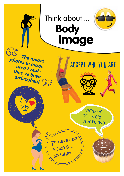